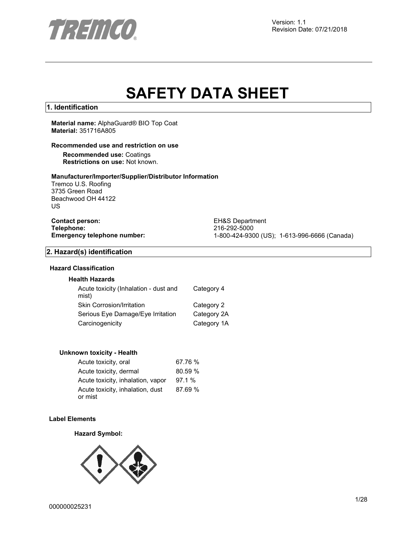

# **SAFETY DATA SHEET**

## **1. Identification**

**Material name:** AlphaGuard® BIO Top Coat **Material:** 351716A805

## **Recommended use and restriction on use**

**Recommended use:** Coatings **Restrictions on use:** Not known.

### **Manufacturer/Importer/Supplier/Distributor Information**

Tremco U.S. Roofing 3735 Green Road Beachwood OH 44122 US

**Contact person:** EH&S Department<br>
Telephone: 216-292-5000 **Telephone:** 216-292-5000

**Emergency telephone number:** 1-800-424-9300 (US); 1-613-996-6666 (Canada)

## **2. Hazard(s) identification**

## **Hazard Classification**

## **Health Hazards**

| Acute toxicity (Inhalation - dust and<br>mist) | Category 4  |
|------------------------------------------------|-------------|
| Skin Corrosion/Irritation                      | Category 2  |
| Serious Eye Damage/Eye Irritation              | Category 2A |
| Carcinogenicity                                | Category 1A |

#### **Unknown toxicity - Health**

| Acute toxicity, oral                        | 67.76 % |
|---------------------------------------------|---------|
| Acute toxicity, dermal                      | 80.59 % |
| Acute toxicity, inhalation, vapor           | 97.1%   |
| Acute toxicity, inhalation, dust<br>or mist | 87.69 % |

## **Label Elements**

#### **Hazard Symbol:**

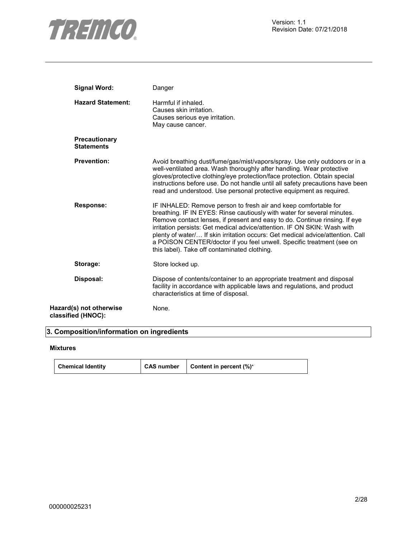

| <b>Signal Word:</b>                           | Danger                                                                                                                                                                                                                                                                                                                                                                                                                                                                                                          |
|-----------------------------------------------|-----------------------------------------------------------------------------------------------------------------------------------------------------------------------------------------------------------------------------------------------------------------------------------------------------------------------------------------------------------------------------------------------------------------------------------------------------------------------------------------------------------------|
| <b>Hazard Statement:</b>                      | Harmful if inhaled.<br>Causes skin irritation.<br>Causes serious eye irritation.<br>May cause cancer.                                                                                                                                                                                                                                                                                                                                                                                                           |
| <b>Precautionary</b><br><b>Statements</b>     |                                                                                                                                                                                                                                                                                                                                                                                                                                                                                                                 |
| <b>Prevention:</b>                            | Avoid breathing dust/fume/gas/mist/vapors/spray. Use only outdoors or in a<br>well-ventilated area. Wash thoroughly after handling. Wear protective<br>gloves/protective clothing/eye protection/face protection. Obtain special<br>instructions before use. Do not handle until all safety precautions have been<br>read and understood. Use personal protective equipment as required.                                                                                                                        |
| <b>Response:</b>                              | IF INHALED: Remove person to fresh air and keep comfortable for<br>breathing. IF IN EYES: Rinse cautiously with water for several minutes.<br>Remove contact lenses, if present and easy to do. Continue rinsing. If eye<br>irritation persists: Get medical advice/attention. IF ON SKIN: Wash with<br>plenty of water/ If skin irritation occurs: Get medical advice/attention. Call<br>a POISON CENTER/doctor if you feel unwell. Specific treatment (see on<br>this label). Take off contaminated clothing. |
| Storage:                                      | Store locked up.                                                                                                                                                                                                                                                                                                                                                                                                                                                                                                |
| Disposal:                                     | Dispose of contents/container to an appropriate treatment and disposal<br>facility in accordance with applicable laws and regulations, and product<br>characteristics at time of disposal.                                                                                                                                                                                                                                                                                                                      |
| Hazard(s) not otherwise<br>classified (HNOC): | None.                                                                                                                                                                                                                                                                                                                                                                                                                                                                                                           |

## **3. Composition/information on ingredients**

## **Mixtures**

| <b>Chemical Identity</b> | CAS number | <b>Content in percent <math>(\%)^*</math></b> |
|--------------------------|------------|-----------------------------------------------|
|--------------------------|------------|-----------------------------------------------|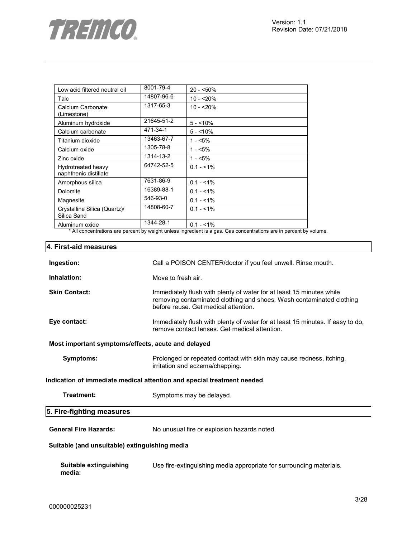

| Low acid filtered neutral oil                                                              | 8001-79-4  | $20 - 50\%$                                                                                                                                     |
|--------------------------------------------------------------------------------------------|------------|-------------------------------------------------------------------------------------------------------------------------------------------------|
| Talc                                                                                       | 14807-96-6 | $10 - 20%$                                                                                                                                      |
| Calcium Carbonate<br>(Limestone)                                                           | 1317-65-3  | $10 - 20%$                                                                                                                                      |
| Aluminum hydroxide                                                                         | 21645-51-2 | $5 - 10\%$                                                                                                                                      |
| Calcium carbonate                                                                          | 471-34-1   | $5 - 10%$                                                                                                                                       |
| Titanium dioxide                                                                           | 13463-67-7 | $1 - 5\%$                                                                                                                                       |
| Calcium oxide                                                                              | 1305-78-8  | $1 - 5%$                                                                                                                                        |
| Zinc oxide                                                                                 | 1314-13-2  | $1 - 5\%$                                                                                                                                       |
| Hydrotreated heavy<br>naphthenic distillate                                                | 64742-52-5 | $0.1 - 1\%$                                                                                                                                     |
| Amorphous silica                                                                           | 7631-86-9  | $0.1 - 1\%$                                                                                                                                     |
| Dolomite                                                                                   | 16389-88-1 | $0.1 - 1\%$                                                                                                                                     |
| Magnesite                                                                                  | 546-93-0   | $0.1 - 1\%$                                                                                                                                     |
| Crystalline Silica (Quartz)/<br>Silica Sand                                                | 14808-60-7 | $0.1 - 1\%$                                                                                                                                     |
| Aluminum oxide<br>$\sim$ $\sim$ $\sim$ $\sim$<br>$\sim$ $\sim$ $\sim$ $\sim$ $\sim$ $\sim$ | 1344-28-1  | $0.1 - 1\%$<br>and a series of the control<br><b>Contract Contract Contract</b><br>$\sim$ $\sim$ $\sim$<br>$\sim$ 12 $\sim$ 12 $\sim$<br>$\sim$ |

All concentrations are percent by weight unless ingredient is a gas. Gas concentrations are in percent by volume.

## **4. First-aid measures**

| Ingestion:                                         | Call a POISON CENTER/doctor if you feel unwell. Rinse mouth.                                                                                                                         |  |
|----------------------------------------------------|--------------------------------------------------------------------------------------------------------------------------------------------------------------------------------------|--|
| Inhalation:                                        | Move to fresh air.                                                                                                                                                                   |  |
| <b>Skin Contact:</b>                               | Immediately flush with plenty of water for at least 15 minutes while<br>removing contaminated clothing and shoes. Wash contaminated clothing<br>before reuse. Get medical attention. |  |
| Eye contact:                                       | Immediately flush with plenty of water for at least 15 minutes. If easy to do,<br>remove contact lenses. Get medical attention.                                                      |  |
| Most important symptoms/effects, acute and delayed |                                                                                                                                                                                      |  |
| Symptoms:                                          | Prolonged or repeated contact with skin may cause redness, itching,<br>irritation and eczema/chapping.                                                                               |  |
|                                                    | Indication of immediate medical attention and special treatment needed                                                                                                               |  |
| <b>Treatment:</b>                                  | Symptoms may be delayed.                                                                                                                                                             |  |
| 5. Fire-fighting measures                          |                                                                                                                                                                                      |  |
| <b>General Fire Hazards:</b>                       | No unusual fire or explosion hazards noted.                                                                                                                                          |  |
| Suitable (and unsuitable) extinguishing media      |                                                                                                                                                                                      |  |
| Suitable extinguishing<br>media:                   | Use fire-extinguishing media appropriate for surrounding materials.                                                                                                                  |  |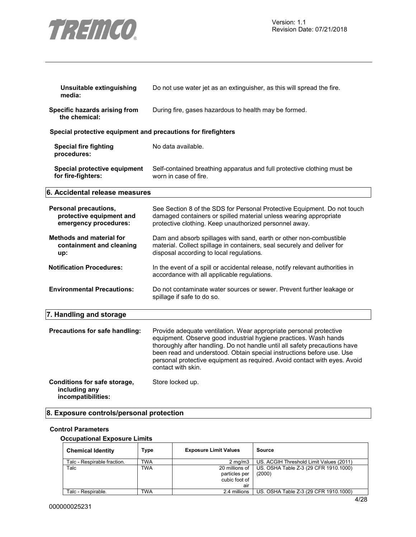

| Unsuitable extinguishing<br>media:                                         | Do not use water jet as an extinguisher, as this will spread the fire.                                                                                                                                                                                                                                                                                                                           |
|----------------------------------------------------------------------------|--------------------------------------------------------------------------------------------------------------------------------------------------------------------------------------------------------------------------------------------------------------------------------------------------------------------------------------------------------------------------------------------------|
| Specific hazards arising from<br>the chemical:                             | During fire, gases hazardous to health may be formed.                                                                                                                                                                                                                                                                                                                                            |
| Special protective equipment and precautions for firefighters              |                                                                                                                                                                                                                                                                                                                                                                                                  |
| <b>Special fire fighting</b><br>procedures:                                | No data available.                                                                                                                                                                                                                                                                                                                                                                               |
| Special protective equipment<br>for fire-fighters:                         | Self-contained breathing apparatus and full protective clothing must be<br>worn in case of fire.                                                                                                                                                                                                                                                                                                 |
| 6. Accidental release measures                                             |                                                                                                                                                                                                                                                                                                                                                                                                  |
| Personal precautions,<br>protective equipment and<br>emergency procedures: | See Section 8 of the SDS for Personal Protective Equipment. Do not touch<br>damaged containers or spilled material unless wearing appropriate<br>protective clothing. Keep unauthorized personnel away.                                                                                                                                                                                          |
| <b>Methods and material for</b><br>containment and cleaning<br>up:         | Dam and absorb spillages with sand, earth or other non-combustible<br>material. Collect spillage in containers, seal securely and deliver for<br>disposal according to local regulations.                                                                                                                                                                                                        |
| <b>Notification Procedures:</b>                                            | In the event of a spill or accidental release, notify relevant authorities in<br>accordance with all applicable regulations.                                                                                                                                                                                                                                                                     |
| <b>Environmental Precautions:</b>                                          | Do not contaminate water sources or sewer. Prevent further leakage or<br>spillage if safe to do so.                                                                                                                                                                                                                                                                                              |
| 7. Handling and storage                                                    |                                                                                                                                                                                                                                                                                                                                                                                                  |
| Precautions for safe handling:                                             | Provide adequate ventilation. Wear appropriate personal protective<br>equipment. Observe good industrial hygiene practices. Wash hands<br>thoroughly after handling. Do not handle until all safety precautions have<br>been read and understood. Obtain special instructions before use. Use<br>personal protective equipment as required. Avoid contact with eyes. Avoid<br>contact with skin. |
| Conditions for safe storage,<br>including any<br>incompatibilities:        | Store locked up.                                                                                                                                                                                                                                                                                                                                                                                 |

## **8. Exposure controls/personal protection**

## **Control Parameters**

#### **Occupational Exposure Limits**

| <b>Chemical Identity</b>    | Type       | <b>Exposure Limit Values</b>                            | Source                                          |
|-----------------------------|------------|---------------------------------------------------------|-------------------------------------------------|
| Talc - Respirable fraction. | <b>TWA</b> | $2 \text{ ma/m}$ 3                                      | US. ACGIH Threshold Limit Values (2011)         |
| Talc                        | <b>TWA</b> | 20 millions of<br>particles per<br>cubic foot of<br>air | US. OSHA Table Z-3 (29 CFR 1910.1000)<br>(2000) |
| Talc - Respirable.          | TWA        | 2.4 millions                                            | US. OSHA Table Z-3 (29 CFR 1910.1000)           |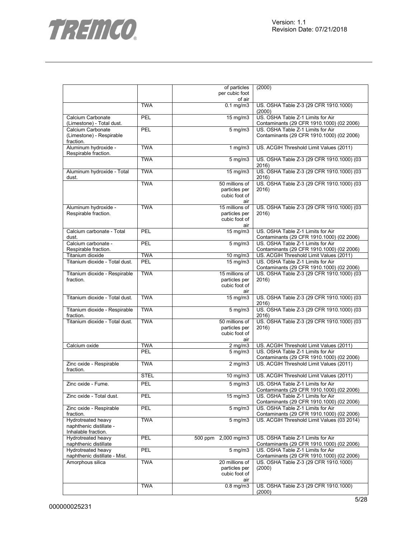

|                                   |             | of particles        | (2000)                                                                         |
|-----------------------------------|-------------|---------------------|--------------------------------------------------------------------------------|
|                                   |             | per cubic foot      |                                                                                |
|                                   |             | of air              |                                                                                |
|                                   | <b>TWA</b>  | $0.1$ mg/m $3$      | US. OSHA Table Z-3 (29 CFR 1910.1000)                                          |
|                                   |             |                     | (2000)                                                                         |
| Calcium Carbonate                 | PEL         | 15 mg/m3            | US. OSHA Table Z-1 Limits for Air                                              |
| (Limestone) - Total dust.         |             |                     | Contaminants (29 CFR 1910.1000) (02 2006)                                      |
| Calcium Carbonate                 | PEL         | $5$ mg/m $3$        | US. OSHA Table Z-1 Limits for Air                                              |
| (Limestone) - Respirable          |             |                     | Contaminants (29 CFR 1910.1000) (02 2006)                                      |
| fraction.<br>Aluminum hydroxide - | <b>TWA</b>  |                     |                                                                                |
|                                   |             | $1$ mg/m $3$        | US. ACGIH Threshold Limit Values (2011)                                        |
| Respirable fraction.              | <b>TWA</b>  |                     | US. OSHA Table Z-3 (29 CFR 1910.1000) (03                                      |
|                                   |             | 5 mg/m3             | 2016)                                                                          |
| Aluminum hydroxide - Total        | <b>TWA</b>  | 15 mg/m3            | US. OSHA Table Z-3 (29 CFR 1910.1000) (03                                      |
| dust.                             |             |                     | 2016)                                                                          |
|                                   | <b>TWA</b>  | 50 millions of      | US. OSHA Table Z-3 (29 CFR 1910.1000) (03                                      |
|                                   |             | particles per       | 2016)                                                                          |
|                                   |             | cubic foot of       |                                                                                |
|                                   |             | air                 |                                                                                |
| Aluminum hydroxide -              | <b>TWA</b>  | 15 millions of      | US. OSHA Table Z-3 (29 CFR 1910.1000) (03                                      |
| Respirable fraction.              |             | particles per       | 2016)                                                                          |
|                                   |             | cubic foot of       |                                                                                |
|                                   |             | air                 |                                                                                |
| Calcium carbonate - Total         | PEL         | 15 mg/m3            | US. OSHA Table Z-1 Limits for Air                                              |
| dust.                             |             |                     | Contaminants (29 CFR 1910.1000) (02 2006)                                      |
| Calcium carbonate -               | PEL         | 5 mg/m3             | US. OSHA Table Z-1 Limits for Air                                              |
| Respirable fraction.              |             |                     | Contaminants (29 CFR 1910.1000) (02 2006)                                      |
| Titanium dioxide                  | <b>TWA</b>  | $10$ mg/m $3$       | US. ACGIH Threshold Limit Values (2011)                                        |
| Titanium dioxide - Total dust.    | PEL         | 15 mg/m3            | US. OSHA Table Z-1 Limits for Air                                              |
|                                   |             |                     | Contaminants (29 CFR 1910.1000) (02 2006)                                      |
| Titanium dioxide - Respirable     | <b>TWA</b>  | 15 millions of      | US. OSHA Table Z-3 (29 CFR 1910.1000) (03                                      |
| fraction.                         |             | particles per       | 2016)                                                                          |
|                                   |             | cubic foot of       |                                                                                |
|                                   |             | air                 |                                                                                |
| Titanium dioxide - Total dust.    | <b>TWA</b>  | $15$ mg/m $3$       | US. OSHA Table Z-3 (29 CFR 1910.1000) (03                                      |
|                                   |             |                     | 2016)                                                                          |
| Titanium dioxide - Respirable     | <b>TWA</b>  | 5 mg/m3             | US. OSHA Table Z-3 (29 CFR 1910.1000) (03                                      |
| fraction.                         |             |                     | 2016)                                                                          |
| Titanium dioxide - Total dust.    | <b>TWA</b>  | 50 millions of      | US. OSHA Table Z-3 (29 CFR 1910.1000) (03                                      |
|                                   |             | particles per       | 2016)                                                                          |
|                                   |             | cubic foot of       |                                                                                |
| Calcium oxide                     | <b>TWA</b>  | air<br>$2$ mg/m $3$ | US. ACGIH Threshold Limit Values (2011)                                        |
|                                   | PEL         |                     | US. OSHA Table Z-1 Limits for Air                                              |
|                                   |             | $5$ mg/m $3$        | Contaminants (29 CFR 1910.1000) (02 2006)                                      |
| Zinc oxide - Respirable           | <b>TWA</b>  | $2 \text{ mg/m}$    | US. ACGIH Threshold Limit Values (2011)                                        |
| fraction.                         |             |                     |                                                                                |
|                                   | <b>STEL</b> | 10 mg/m3            | US. ACGIH Threshold Limit Values (2011)                                        |
|                                   |             |                     |                                                                                |
| Zinc oxide - Fume.                | <b>PEL</b>  | $5$ mg/m $3$        | US. OSHA Table Z-1 Limits for Air                                              |
|                                   |             |                     | Contaminants (29 CFR 1910.1000) (02 2006)                                      |
| Zinc oxide - Total dust.          | PEL         | $15 \text{ mg/m}$   | US. OSHA Table Z-1 Limits for Air                                              |
| Zinc oxide - Respirable           | PEL         | $5$ mg/m $3$        | Contaminants (29 CFR 1910.1000) (02 2006)<br>US. OSHA Table Z-1 Limits for Air |
| fraction.                         |             |                     | Contaminants (29 CFR 1910.1000) (02 2006)                                      |
| Hydrotreated heavy                | <b>TWA</b>  | $5$ mg/m $3$        | US. ACGIH Threshold Limit Values (03 2014)                                     |
| naphthenic distillate -           |             |                     |                                                                                |
| Inhalable fraction.               |             |                     |                                                                                |
| Hydrotreated heavy                | PEL         | 500 ppm 2,000 mg/m3 | US. OSHA Table Z-1 Limits for Air                                              |
| naphthenic distillate             |             |                     | Contaminants (29 CFR 1910.1000) (02 2006)                                      |
| Hydrotreated heavy                | PEL         | $5$ mg/m $3$        | US. OSHA Table Z-1 Limits for Air                                              |
| naphthenic distillate - Mist.     |             |                     | Contaminants (29 CFR 1910.1000) (02 2006)                                      |
| Amorphous silica                  | <b>TWA</b>  | 20 millions of      | US. OSHA Table Z-3 (29 CFR 1910.1000)                                          |
|                                   |             | particles per       | (2000)                                                                         |
|                                   |             | cubic foot of       |                                                                                |
|                                   |             | air                 |                                                                                |
|                                   | <b>TWA</b>  | $0.8$ mg/m $3$      | US. OSHA Table Z-3 (29 CFR 1910.1000)                                          |
|                                   |             |                     | (2000)                                                                         |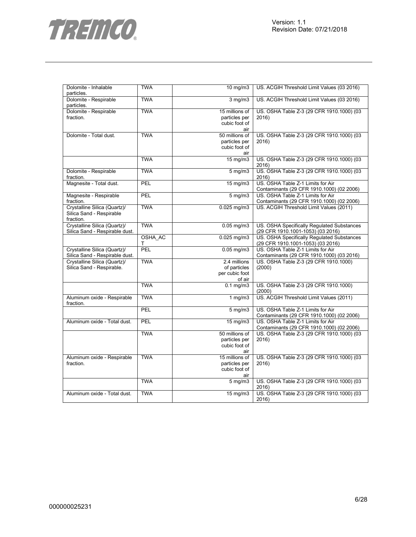

| Dolomite - Inhalable<br>particles.                                    | TWA          | 10 $mg/m3$                                               | US. ACGIH Threshold Limit Values (03 2016)                                      |
|-----------------------------------------------------------------------|--------------|----------------------------------------------------------|---------------------------------------------------------------------------------|
| Dolomite - Respirable<br>particles.                                   | <b>TWA</b>   | $3$ mg/m $3$                                             | US. ACGIH Threshold Limit Values (03 2016)                                      |
| Dolomite - Respirable<br>fraction.                                    | <b>TWA</b>   | 15 millions of<br>particles per<br>cubic foot of<br>air  | US. OSHA Table Z-3 (29 CFR 1910.1000) (03<br>2016)                              |
| Dolomite - Total dust.                                                | <b>TWA</b>   | 50 millions of<br>particles per<br>cubic foot of<br>air  | US. OSHA Table Z-3 (29 CFR 1910.1000) (03<br>2016)                              |
|                                                                       | <b>TWA</b>   | 15 mg/m3                                                 | US. OSHA Table Z-3 (29 CFR 1910.1000) (03<br>2016)                              |
| Dolomite - Respirable<br>fraction.                                    | <b>TWA</b>   | $5 \text{ mg/m}$                                         | US. OSHA Table Z-3 (29 CFR 1910.1000) (03<br>2016)                              |
| Magnesite - Total dust.                                               | <b>PEL</b>   | 15 mg/m3                                                 | US. OSHA Table Z-1 Limits for Air<br>Contaminants (29 CFR 1910.1000) (02 2006)  |
| Magnesite - Respirable<br>fraction.                                   | <b>PEL</b>   | $5 \,\mathrm{mg/m}$                                      | US. OSHA Table Z-1 Limits for Air<br>Contaminants (29 CFR 1910.1000) (02 2006)  |
| Crystalline Silica (Quartz)/<br>Silica Sand - Respirable<br>fraction. | <b>TWA</b>   | $0.025$ mg/m $3$                                         | US. ACGIH Threshold Limit Values (2011)                                         |
| Crystalline Silica (Quartz)/<br>Silica Sand - Respirable dust.        | <b>TWA</b>   | $0.05$ mg/m $3$                                          | US. OSHA Specifically Regulated Substances<br>(29 CFR 1910.1001-1053) (03 2016) |
|                                                                       | OSHA_AC<br>Т | 0.025 mg/m3                                              | US. OSHA Specifically Regulated Substances<br>(29 CFR 1910.1001-1053) (03 2016) |
| Crystalline Silica (Quartz)/<br>Silica Sand - Respirable dust.        | PEL          | $0.05$ mg/m3                                             | US. OSHA Table Z-1 Limits for Air<br>Contaminants (29 CFR 1910.1000) (03 2016)  |
| Crystalline Silica (Quartz)/<br>Silica Sand - Respirable.             | <b>TWA</b>   | 2.4 millions<br>of particles<br>per cubic foot<br>of air | US. OSHA Table Z-3 (29 CFR 1910.1000)<br>(2000)                                 |
|                                                                       | <b>TWA</b>   | $0.1$ mg/m3                                              | US. OSHA Table Z-3 (29 CFR 1910.1000)<br>(2000)                                 |
| Aluminum oxide - Respirable<br>fraction.                              | <b>TWA</b>   | 1 $mg/m3$                                                | US. ACGIH Threshold Limit Values (2011)                                         |
|                                                                       | PEL          | $5 \overline{\mathrm{mg}}$ m3                            | US. OSHA Table Z-1 Limits for Air<br>Contaminants (29 CFR 1910.1000) (02 2006)  |
| Aluminum oxide - Total dust.                                          | PEL          | 15 mg/m3                                                 | US. OSHA Table Z-1 Limits for Air<br>Contaminants (29 CFR 1910.1000) (02 2006)  |
|                                                                       | <b>TWA</b>   | 50 millions of<br>particles per<br>cubic foot of<br>air  | US. OSHA Table Z-3 (29 CFR 1910.1000) (03<br>2016)                              |
| Aluminum oxide - Respirable<br>fraction.                              | <b>TWA</b>   | 15 millions of<br>particles per<br>cubic foot of<br>air  | US. OSHA Table Z-3 (29 CFR 1910.1000) (03<br>2016)                              |
|                                                                       | <b>TWA</b>   | $5 \text{ mg/m}$                                         | US. OSHA Table Z-3 (29 CFR 1910.1000) (03<br>2016)                              |
| Aluminum oxide - Total dust.                                          | <b>TWA</b>   | 15 mg/m3                                                 | US. OSHA Table Z-3 (29 CFR 1910.1000) (03<br>2016)                              |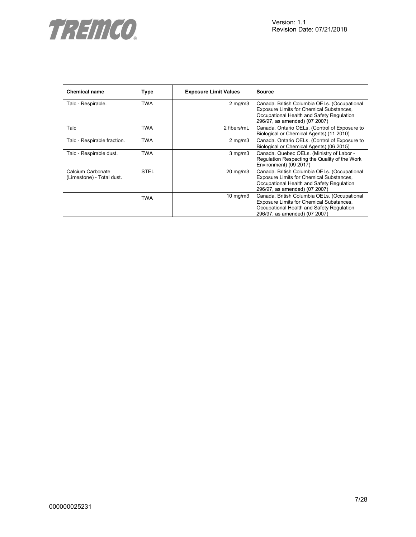

| <b>Chemical name</b>                           | <b>Type</b> | <b>Exposure Limit Values</b> | <b>Source</b>                                                                                                                                                          |
|------------------------------------------------|-------------|------------------------------|------------------------------------------------------------------------------------------------------------------------------------------------------------------------|
| Talc - Respirable.                             | <b>TWA</b>  | $2 \text{ mg/m}$             | Canada. British Columbia OELs. (Occupational<br>Exposure Limits for Chemical Substances,<br>Occupational Health and Safety Regulation<br>296/97, as amended) (07 2007) |
| Talc                                           | TWA         | 2 fibers/mL                  | Canada. Ontario OELs. (Control of Exposure to<br>Biological or Chemical Agents) (11 2010)                                                                              |
| Talc - Respirable fraction.                    | <b>TWA</b>  | $2$ mg/m $3$                 | Canada. Ontario OELs. (Control of Exposure to<br>Biological or Chemical Agents) (06 2015)                                                                              |
| Talc - Respirable dust.                        | TWA         | $3$ mg/m $3$                 | Canada. Quebec OELs. (Ministry of Labor -<br>Regulation Respecting the Quality of the Work<br>Environment) (09 2017)                                                   |
| Calcium Carbonate<br>(Limestone) - Total dust. | <b>STEL</b> | 20 mg/m3                     | Canada. British Columbia OELs. (Occupational<br>Exposure Limits for Chemical Substances,<br>Occupational Health and Safety Regulation<br>296/97, as amended) (07 2007) |
|                                                | <b>TWA</b>  | $10 \text{ mg/m}$            | Canada. British Columbia OELs. (Occupational<br>Exposure Limits for Chemical Substances,<br>Occupational Health and Safety Regulation<br>296/97, as amended) (07 2007) |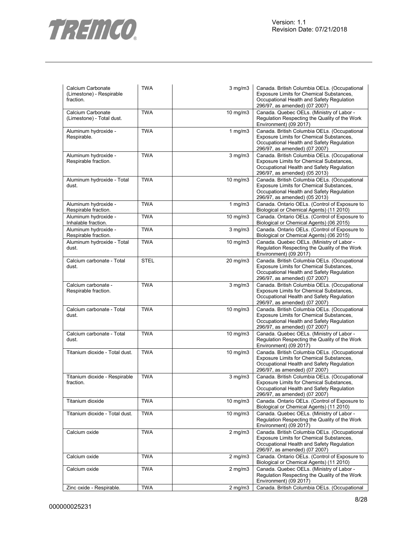

| Calcium Carbonate<br>(Limestone) - Respirable<br>fraction. | <b>TWA</b>  | $3$ mg/m $3$      | Canada. British Columbia OELs. (Occupational<br>Exposure Limits for Chemical Substances,<br>Occupational Health and Safety Regulation<br>296/97, as amended) (07 2007)       |
|------------------------------------------------------------|-------------|-------------------|------------------------------------------------------------------------------------------------------------------------------------------------------------------------------|
| Calcium Carbonate<br>(Limestone) - Total dust.             | <b>TWA</b>  | $10$ mg/m $3$     | Canada. Quebec OELs. (Ministry of Labor -<br>Regulation Respecting the Quality of the Work<br>Environment) (09 2017)                                                         |
| Aluminum hydroxide -<br>Respirable.                        | <b>TWA</b>  | 1 $mg/m3$         | Canada. British Columbia OELs. (Occupational<br>Exposure Limits for Chemical Substances,<br>Occupational Health and Safety Regulation<br>296/97, as amended) (07 2007)       |
| Aluminum hydroxide -<br>Respirable fraction.               | <b>TWA</b>  | $3$ mg/m $3$      | Canada. British Columbia OELs. (Occupational<br>Exposure Limits for Chemical Substances,<br>Occupational Health and Safety Regulation<br>296/97, as amended) (05 2013)       |
| Aluminum hydroxide - Total<br>dust.                        | <b>TWA</b>  | $10$ mg/m $3$     | Canada. British Columbia OELs. (Occupational<br>Exposure Limits for Chemical Substances,<br>Occupational Health and Safety Regulation<br>296/97, as amended) (05 2013)       |
| Aluminum hydroxide -<br>Respirable fraction.               | <b>TWA</b>  | 1 $mg/m3$         | Canada. Ontario OELs. (Control of Exposure to<br>Biological or Chemical Agents) (11 2010)                                                                                    |
| Aluminum hydroxide -<br>Inhalable fraction.                | <b>TWA</b>  | $10 \text{ mg/m}$ | Canada. Ontario OELs. (Control of Exposure to<br>Biological or Chemical Agents) (06 2015)                                                                                    |
| Aluminum hydroxide -<br>Respirable fraction.               | <b>TWA</b>  | $3$ mg/m $3$      | Canada. Ontario OELs. (Control of Exposure to<br>Biological or Chemical Agents) (06 2015)                                                                                    |
| Aluminum hydroxide - Total<br>dust.                        | <b>TWA</b>  | $10 \text{ mg/m}$ | Canada. Quebec OELs. (Ministry of Labor -<br>Regulation Respecting the Quality of the Work<br>Environment) (09 2017)                                                         |
| Calcium carbonate - Total<br>dust.                         | <b>STEL</b> | 20 mg/m3          | Canada. British Columbia OELs. (Occupational<br>Exposure Limits for Chemical Substances,<br>Occupational Health and Safety Regulation<br>296/97, as amended) (07 2007)       |
| Calcium carbonate -<br>Respirable fraction.                | <b>TWA</b>  | $3$ mg/m $3$      | Canada. British Columbia OELs. (Occupational<br>Exposure Limits for Chemical Substances,<br>Occupational Health and Safety Regulation<br>296/97, as amended) (07 2007)       |
| Calcium carbonate - Total<br>dust.                         | <b>TWA</b>  | $10$ mg/m $3$     | Canada. British Columbia OELs. (Occupational<br>Exposure Limits for Chemical Substances,<br>Occupational Health and Safety Regulation<br>296/97, as amended) (07 2007)       |
| Calcium carbonate - Total<br>dust.                         | <b>TWA</b>  | $10$ mg/m $3$     | Canada. Quebec OELs. (Ministry of Labor -<br>Regulation Respecting the Quality of the Work<br>Environment) (09 2017)                                                         |
| Titanium dioxide - Total dust.                             | <b>TWA</b>  | 10 mg/m3          | Canada. British Columbia OELs. (Occupational<br>Exposure Limits for Chemical Substances,<br>Occupational Health and Safety Regulation<br>296/97, as amended) (07 2007)       |
| Titanium dioxide - Respirable<br>fraction.                 | <b>TWA</b>  | $3$ mg/m $3$      | Canada. British Columbia OELs. (Occupational<br><b>Exposure Limits for Chemical Substances</b><br>Occupational Health and Safety Regulation<br>296/97, as amended) (07 2007) |
| Titanium dioxide                                           | <b>TWA</b>  | $10$ mg/m $3$     | Canada. Ontario OELs. (Control of Exposure to<br>Biological or Chemical Agents) (11 2010)                                                                                    |
| Titanium dioxide - Total dust.                             | <b>TWA</b>  | $10 \text{ mg/m}$ | Canada. Quebec OELs. (Ministry of Labor -<br>Regulation Respecting the Quality of the Work<br>Environment) (09 2017)                                                         |
| Calcium oxide                                              | <b>TWA</b>  | $2$ mg/m $3$      | Canada. British Columbia OELs. (Occupational<br>Exposure Limits for Chemical Substances,<br>Occupational Health and Safety Regulation<br>296/97, as amended) (07 2007)       |
| Calcium oxide                                              | <b>TWA</b>  | $2$ mg/m $3$      | Canada. Ontario OELs. (Control of Exposure to<br>Biological or Chemical Agents) (11 2010)                                                                                    |
| Calcium oxide                                              | <b>TWA</b>  | $2$ mg/m $3$      | Canada. Quebec OELs. (Ministry of Labor -<br>Regulation Respecting the Quality of the Work<br>Environment) (09 2017)                                                         |
| Zinc oxide - Respirable.                                   | <b>TWA</b>  | $2$ mg/m $3$      | Canada. British Columbia OELs. (Occupational                                                                                                                                 |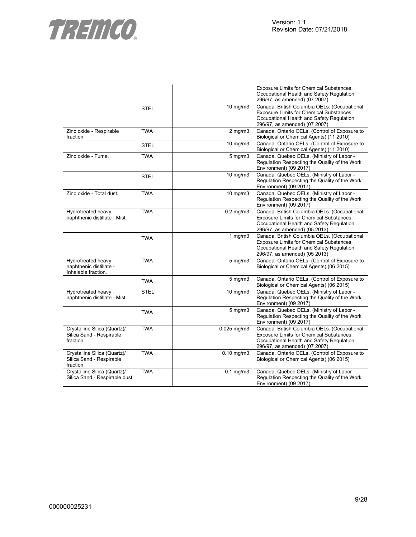

|                                                                       |             |                         | <b>Exposure Limits for Chemical Substances,</b><br>Occupational Health and Safety Regulation<br>296/97, as amended) (07 2007)                                          |
|-----------------------------------------------------------------------|-------------|-------------------------|------------------------------------------------------------------------------------------------------------------------------------------------------------------------|
|                                                                       | <b>STEL</b> | 10 mg/m3                | Canada. British Columbia OELs. (Occupational<br>Exposure Limits for Chemical Substances,<br>Occupational Health and Safety Regulation<br>296/97, as amended) (07 2007) |
| Zinc oxide - Respirable<br>fraction.                                  | <b>TWA</b>  | $2$ mg/m $3$            | Canada. Ontario OELs. (Control of Exposure to<br>Biological or Chemical Agents) (11 2010)                                                                              |
|                                                                       | <b>STEL</b> | $10$ mg/m $3$           | Canada. Ontario OELs. (Control of Exposure to<br>Biological or Chemical Agents) (11 2010)                                                                              |
| Zinc oxide - Fume.                                                    | <b>TWA</b>  | $5$ mg/m $3$            | Canada. Quebec OELs. (Ministry of Labor -<br>Regulation Respecting the Quality of the Work<br>Environment) (09 2017)                                                   |
|                                                                       | <b>STEL</b> | 10 mg/m3                | Canada. Quebec OELs. (Ministry of Labor -<br>Regulation Respecting the Quality of the Work<br>Environment) (09 2017)                                                   |
| Zinc oxide - Total dust.                                              | <b>TWA</b>  | $\overline{10}$ mg/m3   | Canada. Quebec OELs. (Ministry of Labor -<br>Regulation Respecting the Quality of the Work<br>Environment) (09 2017)                                                   |
| Hydrotreated heavy<br>naphthenic distillate - Mist.                   | <b>TWA</b>  | $0.2$ mg/m $3$          | Canada. British Columbia OELs. (Occupational<br>Exposure Limits for Chemical Substances,<br>Occupational Health and Safety Regulation<br>296/97, as amended) (05 2013) |
|                                                                       | <b>TWA</b>  | $1$ mg/m $3$            | Canada. British Columbia OELs. (Occupational<br>Exposure Limits for Chemical Substances,<br>Occupational Health and Safety Regulation<br>296/97, as amended) (05 2013) |
| Hydrotreated heavy<br>naphthenic distillate -<br>Inhalable fraction.  | <b>TWA</b>  | $5$ mg/m $3$            | Canada. Ontario OELs. (Control of Exposure to<br>Biological or Chemical Agents) (06 2015)                                                                              |
|                                                                       | <b>TWA</b>  | $5 \text{ mg/m}$        | Canada. Ontario OELs. (Control of Exposure to<br>Biological or Chemical Agents) (06 2015)                                                                              |
| Hydrotreated heavy<br>naphthenic distillate - Mist.                   | <b>STEL</b> | $10$ mg/m $3$           | Canada. Quebec OELs. (Ministry of Labor -<br>Regulation Respecting the Quality of the Work<br>Environment) (09 2017)                                                   |
|                                                                       | <b>TWA</b>  | $5$ mg/m $3$            | Canada. Quebec OELs. (Ministry of Labor -<br>Regulation Respecting the Quality of the Work<br>Environment) (09 2017)                                                   |
| Crystalline Silica (Quartz)/<br>Silica Sand - Respirable<br>fraction. | <b>TWA</b>  | $0.025$ mg/m $3$        | Canada. British Columbia OELs. (Occupational<br>Exposure Limits for Chemical Substances,<br>Occupational Health and Safety Regulation<br>296/97, as amended) (07 2007) |
| Crystalline Silica (Quartz)/<br>Silica Sand - Respirable<br>fraction. | <b>TWA</b>  | $\overline{0.1}0$ mg/m3 | Canada. Ontario OELs. (Control of Exposure to<br>Biological or Chemical Agents) (06 2015)                                                                              |
| Crystalline Silica (Quartz)/<br>Silica Sand - Respirable dust.        | <b>TWA</b>  | $0.1$ mg/m $3$          | Canada. Quebec OELs. (Ministry of Labor -<br>Regulation Respecting the Quality of the Work<br>Environment) (09 2017)                                                   |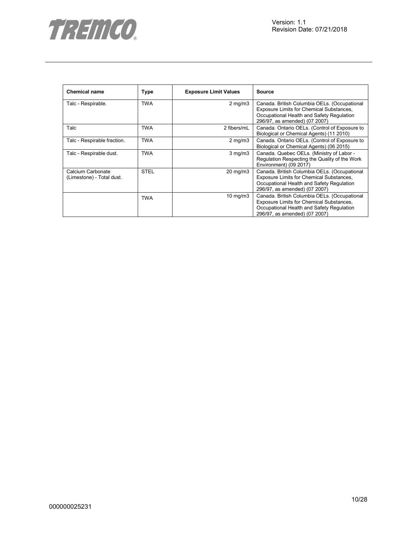

| <b>Chemical name</b>                           | <b>Type</b> | <b>Exposure Limit Values</b> | <b>Source</b>                                                                                                                                                          |
|------------------------------------------------|-------------|------------------------------|------------------------------------------------------------------------------------------------------------------------------------------------------------------------|
| Talc - Respirable.                             | <b>TWA</b>  | $2 \text{ mg/m}$             | Canada. British Columbia OELs. (Occupational<br>Exposure Limits for Chemical Substances,<br>Occupational Health and Safety Regulation<br>296/97, as amended) (07 2007) |
| Talc                                           | TWA         | 2 fibers/mL                  | Canada. Ontario OELs. (Control of Exposure to<br>Biological or Chemical Agents) (11 2010)                                                                              |
| Talc - Respirable fraction.                    | <b>TWA</b>  | $2$ mg/m $3$                 | Canada. Ontario OELs. (Control of Exposure to<br>Biological or Chemical Agents) (06 2015)                                                                              |
| Talc - Respirable dust.                        | TWA         | $3$ mg/m $3$                 | Canada. Quebec OELs. (Ministry of Labor -<br>Regulation Respecting the Quality of the Work<br>Environment) (09 2017)                                                   |
| Calcium Carbonate<br>(Limestone) - Total dust. | <b>STEL</b> | 20 mg/m3                     | Canada. British Columbia OELs. (Occupational<br>Exposure Limits for Chemical Substances,<br>Occupational Health and Safety Regulation<br>296/97, as amended) (07 2007) |
|                                                | <b>TWA</b>  | $10 \text{ mg/m}$            | Canada. British Columbia OELs. (Occupational<br>Exposure Limits for Chemical Substances,<br>Occupational Health and Safety Regulation<br>296/97, as amended) (07 2007) |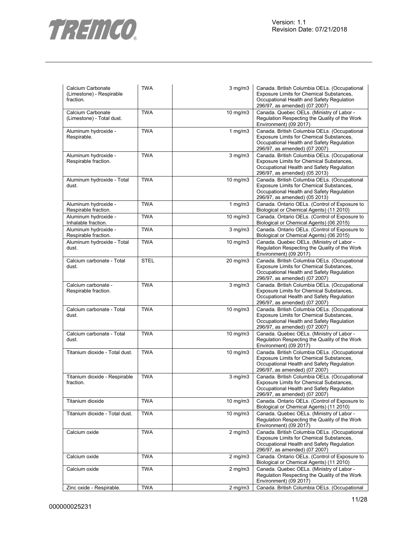

| Calcium Carbonate<br>(Limestone) - Respirable<br>fraction. | <b>TWA</b>  | $3$ mg/m $3$      | Canada. British Columbia OELs. (Occupational<br>Exposure Limits for Chemical Substances,<br>Occupational Health and Safety Regulation<br>296/97, as amended) (07 2007) |
|------------------------------------------------------------|-------------|-------------------|------------------------------------------------------------------------------------------------------------------------------------------------------------------------|
| Calcium Carbonate<br>(Limestone) - Total dust.             | <b>TWA</b>  | 10 mg/m3          | Canada. Quebec OELs. (Ministry of Labor -<br>Regulation Respecting the Quality of the Work<br>Environment) (09 2017)                                                   |
| Aluminum hydroxide -<br>Respirable.                        | <b>TWA</b>  | 1 $mg/m3$         | Canada. British Columbia OELs. (Occupational<br>Exposure Limits for Chemical Substances,<br>Occupational Health and Safety Regulation<br>296/97, as amended) (07 2007) |
| Aluminum hydroxide -<br>Respirable fraction.               | <b>TWA</b>  | $3$ mg/m $3$      | Canada. British Columbia OELs. (Occupational<br>Exposure Limits for Chemical Substances,<br>Occupational Health and Safety Regulation<br>296/97, as amended) (05 2013) |
| Aluminum hydroxide - Total<br>dust.                        | <b>TWA</b>  | 10 mg/m3          | Canada. British Columbia OELs. (Occupational<br>Exposure Limits for Chemical Substances,<br>Occupational Health and Safety Regulation<br>296/97, as amended) (05 2013) |
| Aluminum hydroxide -<br>Respirable fraction.               | <b>TWA</b>  | 1 $mg/m3$         | Canada. Ontario OELs. (Control of Exposure to<br>Biological or Chemical Agents) (11 2010)                                                                              |
| Aluminum hydroxide -<br>Inhalable fraction.                | <b>TWA</b>  | $10 \text{ mg/m}$ | Canada. Ontario OELs. (Control of Exposure to<br>Biological or Chemical Agents) (06 2015)                                                                              |
| Aluminum hydroxide -<br>Respirable fraction.               | <b>TWA</b>  | $3$ mg/m $3$      | Canada. Ontario OELs. (Control of Exposure to<br>Biological or Chemical Agents) (06 2015)                                                                              |
| Aluminum hydroxide - Total<br>dust.                        | <b>TWA</b>  | $10 \text{ mg/m}$ | Canada. Quebec OELs. (Ministry of Labor -<br>Regulation Respecting the Quality of the Work<br>Environment) (09 2017)                                                   |
| Calcium carbonate - Total<br>dust.                         | <b>STEL</b> | 20 mg/m3          | Canada. British Columbia OELs. (Occupational<br>Exposure Limits for Chemical Substances,<br>Occupational Health and Safety Regulation<br>296/97, as amended) (07 2007) |
| Calcium carbonate -<br>Respirable fraction.                | <b>TWA</b>  | $3$ mg/m $3$      | Canada. British Columbia OELs. (Occupational<br>Exposure Limits for Chemical Substances,<br>Occupational Health and Safety Regulation<br>296/97, as amended) (07 2007) |
| Calcium carbonate - Total<br>dust.                         | <b>TWA</b>  | $10$ mg/m $3$     | Canada. British Columbia OELs. (Occupational<br>Exposure Limits for Chemical Substances,<br>Occupational Health and Safety Regulation<br>296/97, as amended) (07 2007) |
| Calcium carbonate - Total<br>dust.                         | <b>TWA</b>  | $10 \text{ mg/m}$ | Canada. Quebec OELs. (Ministry of Labor -<br>Regulation Respecting the Quality of the Work<br>Environment) (09 2017)                                                   |
| Titanium dioxide - Total dust.                             | <b>TWA</b>  | 10 mg/m3          | Canada. British Columbia OELs. (Occupational<br>Exposure Limits for Chemical Substances,<br>Occupational Health and Safety Regulation<br>296/97, as amended) (07 2007) |
| Titanium dioxide - Respirable<br>fraction.                 | <b>TWA</b>  | $3$ mg/m $3$      | Canada. British Columbia OELs. (Occupational<br>Exposure Limits for Chemical Substances,<br>Occupational Health and Safety Regulation<br>296/97, as amended) (07 2007) |
| Titanium dioxide                                           | <b>TWA</b>  | 10 mg/m3          | Canada. Ontario OELs. (Control of Exposure to<br>Biological or Chemical Agents) (11 2010)                                                                              |
| Titanium dioxide - Total dust.                             | <b>TWA</b>  | 10 mg/m3          | Canada. Quebec OELs. (Ministry of Labor -<br>Regulation Respecting the Quality of the Work<br>Environment) (09 2017)                                                   |
| Calcium oxide                                              | <b>TWA</b>  | $2$ mg/m $3$      | Canada. British Columbia OELs. (Occupational<br>Exposure Limits for Chemical Substances,<br>Occupational Health and Safety Regulation<br>296/97, as amended) (07 2007) |
| Calcium oxide                                              | <b>TWA</b>  | $2$ mg/m $3$      | Canada. Ontario OELs. (Control of Exposure to<br>Biological or Chemical Agents) (11 2010)                                                                              |
| Calcium oxide                                              | <b>TWA</b>  | $2$ mg/m $3$      | Canada. Quebec OELs. (Ministry of Labor -<br>Regulation Respecting the Quality of the Work<br>Environment) (09 2017)                                                   |
| Zinc oxide - Respirable.                                   | <b>TWA</b>  | $2$ mg/m $3$      | Canada. British Columbia OELs. (Occupational                                                                                                                           |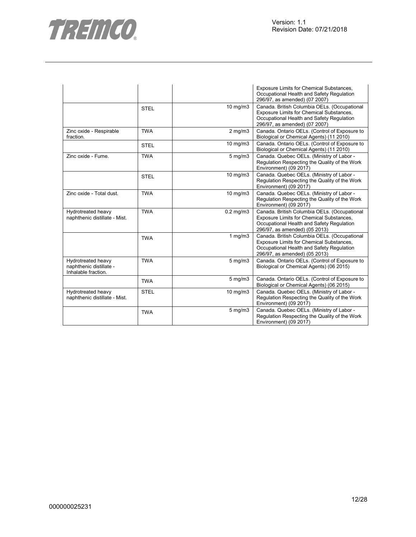

|                                                                      |             |                | Exposure Limits for Chemical Substances,<br>Occupational Health and Safety Regulation<br>296/97, as amended) (07 2007)                                                 |
|----------------------------------------------------------------------|-------------|----------------|------------------------------------------------------------------------------------------------------------------------------------------------------------------------|
|                                                                      | <b>STEL</b> | 10 mg/m3       | Canada. British Columbia OELs. (Occupational<br>Exposure Limits for Chemical Substances,<br>Occupational Health and Safety Regulation<br>296/97, as amended) (07 2007) |
| Zinc oxide - Respirable<br>fraction.                                 | <b>TWA</b>  | $2$ mg/m $3$   | Canada. Ontario OELs. (Control of Exposure to<br>Biological or Chemical Agents) (11 2010)                                                                              |
|                                                                      | <b>STEL</b> | 10 mg/m3       | Canada. Ontario OELs. (Control of Exposure to<br>Biological or Chemical Agents) (11 2010)                                                                              |
| Zinc oxide - Fume.                                                   | <b>TWA</b>  | $5$ mg/m $3$   | Canada. Quebec OELs. (Ministry of Labor -<br>Regulation Respecting the Quality of the Work<br>Environment) (09 2017)                                                   |
|                                                                      | <b>STEL</b> | 10 mg/m3       | Canada. Quebec OELs. (Ministry of Labor -<br>Regulation Respecting the Quality of the Work<br>Environment) (09 2017)                                                   |
| Zinc oxide - Total dust.                                             | <b>TWA</b>  | 10 mg/m3       | Canada. Quebec OELs. (Ministry of Labor -<br>Regulation Respecting the Quality of the Work<br>Environment) (09 2017)                                                   |
| Hydrotreated heavy<br>naphthenic distillate - Mist.                  | <b>TWA</b>  | $0.2$ mg/m $3$ | Canada. British Columbia OELs. (Occupational<br>Exposure Limits for Chemical Substances,<br>Occupational Health and Safety Regulation<br>296/97, as amended) (05 2013) |
|                                                                      | <b>TWA</b>  | 1 $mg/m3$      | Canada. British Columbia OELs. (Occupational<br>Exposure Limits for Chemical Substances,<br>Occupational Health and Safety Regulation<br>296/97, as amended) (05 2013) |
| Hydrotreated heavy<br>naphthenic distillate -<br>Inhalable fraction. | <b>TWA</b>  | $5$ mg/m $3$   | Canada. Ontario OELs. (Control of Exposure to<br>Biological or Chemical Agents) (06 2015)                                                                              |
|                                                                      | <b>TWA</b>  | 5 mg/m3        | Canada. Ontario OELs. (Control of Exposure to<br>Biological or Chemical Agents) (06 2015)                                                                              |
| Hydrotreated heavy<br>naphthenic distillate - Mist.                  | <b>STEL</b> | 10 mg/m3       | Canada. Quebec OELs. (Ministry of Labor -<br>Regulation Respecting the Quality of the Work<br>Environment) (09 2017)                                                   |
|                                                                      | <b>TWA</b>  | $5$ mg/m $3$   | Canada. Quebec OELs. (Ministry of Labor -<br>Regulation Respecting the Quality of the Work<br>Environment) (09 2017)                                                   |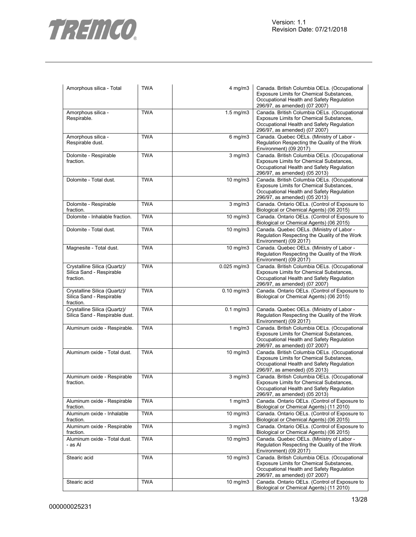

| Amorphous silica - Total                                              | <b>TWA</b> | $4$ mg/m $3$       | Canada. British Columbia OELs. (Occupational<br>Exposure Limits for Chemical Substances,<br>Occupational Health and Safety Regulation<br>296/97, as amended) (07 2007)        |
|-----------------------------------------------------------------------|------------|--------------------|-------------------------------------------------------------------------------------------------------------------------------------------------------------------------------|
| Amorphous silica -<br>Respirable.                                     | <b>TWA</b> | $1.5 \text{ mg/m}$ | Canada. British Columbia OELs. (Occupational<br>Exposure Limits for Chemical Substances,<br>Occupational Health and Safety Regulation<br>296/97, as amended) (07 2007)        |
| Amorphous silica -<br>Respirable dust.                                | <b>TWA</b> | $6$ mg/m $3$       | Canada. Quebec OELs. (Ministry of Labor -<br>Regulation Respecting the Quality of the Work<br>Environment) (09 2017)                                                          |
| Dolomite - Respirable<br>fraction.                                    | <b>TWA</b> | $3$ mg/m $3$       | Canada. British Columbia OELs. (Occupational<br>Exposure Limits for Chemical Substances,<br>Occupational Health and Safety Regulation<br>296/97, as amended) (05 2013)        |
| Dolomite - Total dust.                                                | <b>TWA</b> | 10 mg/m3           | Canada. British Columbia OELs. (Occupational<br>Exposure Limits for Chemical Substances,<br>Occupational Health and Safety Regulation<br>296/97, as amended) (05 2013)        |
| Dolomite - Respirable<br>fraction.                                    | <b>TWA</b> | $3$ mg/m $3$       | Canada. Ontario OELs. (Control of Exposure to<br>Biological or Chemical Agents) (06 2015)                                                                                     |
| Dolomite - Inhalable fraction.                                        | <b>TWA</b> | $10 \text{ mg/m}$  | Canada. Ontario OELs. (Control of Exposure to<br>Biological or Chemical Agents) (06 2015)                                                                                     |
| Dolomite - Total dust.                                                | <b>TWA</b> | 10 mg/m3           | Canada. Quebec OELs. (Ministry of Labor -<br>Regulation Respecting the Quality of the Work<br>Environment) (09 2017)                                                          |
| Magnesite - Total dust.                                               | <b>TWA</b> | 10 mg/m3           | Canada. Quebec OELs. (Ministry of Labor -<br>Regulation Respecting the Quality of the Work<br>Environment) (09 2017)                                                          |
| Crystalline Silica (Quartz)/<br>Silica Sand - Respirable<br>fraction. | <b>TWA</b> | $0.025$ mg/m $3$   | Canada. British Columbia OELs. (Occupational<br>Exposure Limits for Chemical Substances,<br>Occupational Health and Safety Regulation<br>296/97, as amended) (07 2007)        |
| Crystalline Silica (Quartz)/<br>Silica Sand - Respirable<br>fraction. | <b>TWA</b> | $0.10$ mg/m $3$    | Canada. Ontario OELs. (Control of Exposure to<br>Biological or Chemical Agents) (06 2015)                                                                                     |
| Crystalline Silica (Quartz)/<br>Silica Sand - Respirable dust.        | <b>TWA</b> | $0.1$ mg/m $3$     | Canada. Quebec OELs. (Ministry of Labor -<br>Regulation Respecting the Quality of the Work<br>Environment) (09 2017)                                                          |
| Aluminum oxide - Respirable.                                          | <b>TWA</b> | 1 $mg/m3$          | Canada. British Columbia OELs. (Occupational<br>Exposure Limits for Chemical Substances,<br>Occupational Health and Safety Regulation<br>296/97, as amended) (07 2007)        |
| Aluminum oxide - Total dust.                                          | <b>TWA</b> | $10$ mg/m $3$      | Canada. British Columbia OELs. (Occupational<br>Exposure Limits for Chemical Substances,<br>Occupational Health and Safety Regulation<br>296/97, as amended) (05 2013)        |
| Aluminum oxide - Respirable<br>fraction.                              | <b>TWA</b> | $3$ mg/m $3$       | Canada. British Columbia OELs. (Occupational<br><b>Exposure Limits for Chemical Substances.</b><br>Occupational Health and Safety Regulation<br>296/97, as amended) (05 2013) |
| Aluminum oxide - Respirable<br>fraction.                              | <b>TWA</b> | $1$ mg/m $3$       | Canada. Ontario OELs. (Control of Exposure to<br>Biological or Chemical Agents) (11 2010)                                                                                     |
| Aluminum oxide - Inhalable<br>fraction.                               | <b>TWA</b> | 10 mg/m $3$        | Canada. Ontario OELs. (Control of Exposure to<br>Biological or Chemical Agents) (06 2015)                                                                                     |
| Aluminum oxide - Respirable<br>fraction.                              | <b>TWA</b> | $3$ mg/m $3$       | Canada. Ontario OELs. (Control of Exposure to<br>Biological or Chemical Agents) (06 2015)                                                                                     |
| Aluminum oxide - Total dust.<br>- as Al                               | <b>TWA</b> | $10 \text{ mg/m}$  | Canada. Quebec OELs. (Ministry of Labor -<br>Regulation Respecting the Quality of the Work<br>Environment) (09 2017)                                                          |
| Stearic acid                                                          | <b>TWA</b> | $10$ mg/m $3$      | Canada. British Columbia OELs. (Occupational<br>Exposure Limits for Chemical Substances,<br>Occupational Health and Safety Regulation<br>296/97, as amended) (07 2007)        |
| Stearic acid                                                          | <b>TWA</b> | $10$ mg/m $3$      | Canada. Ontario OELs. (Control of Exposure to<br>Biological or Chemical Agents) (11 2010)                                                                                     |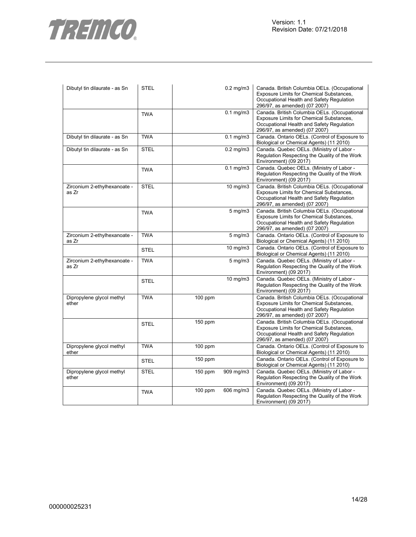



| Dibutyl tin dilaurate - as Sn         | <b>STEL</b> |           | $0.2$ mg/m $3$ | Canada. British Columbia OELs. (Occupational<br>Exposure Limits for Chemical Substances,<br>Occupational Health and Safety Regulation<br>296/97, as amended) (07 2007) |
|---------------------------------------|-------------|-----------|----------------|------------------------------------------------------------------------------------------------------------------------------------------------------------------------|
|                                       | <b>TWA</b>  |           | $0.1$ mg/m $3$ | Canada. British Columbia OELs. (Occupational<br>Exposure Limits for Chemical Substances,<br>Occupational Health and Safety Regulation<br>296/97, as amended) (07 2007) |
| Dibutyl tin dilaurate - as Sn         | <b>TWA</b>  |           | $0.1$ mg/m $3$ | Canada. Ontario OELs. (Control of Exposure to<br>Biological or Chemical Agents) (11 2010)                                                                              |
| Dibutyl tin dilaurate - as Sn         | <b>STEL</b> |           | $0.2$ mg/m $3$ | Canada. Quebec OELs. (Ministry of Labor -<br>Regulation Respecting the Quality of the Work<br>Environment) (09 2017)                                                   |
|                                       | <b>TWA</b>  |           | $0.1$ mg/m $3$ | Canada. Quebec OELs. (Ministry of Labor -<br>Regulation Respecting the Quality of the Work<br>Environment) (09 2017)                                                   |
| Zirconium 2-ethylhexanoate -<br>as Zr | <b>STEL</b> |           | $10$ mg/m $3$  | Canada. British Columbia OELs. (Occupational<br>Exposure Limits for Chemical Substances,<br>Occupational Health and Safety Regulation<br>296/97, as amended) (07 2007) |
|                                       | <b>TWA</b>  |           | $5$ mg/m $3$   | Canada. British Columbia OELs. (Occupational<br>Exposure Limits for Chemical Substances,<br>Occupational Health and Safety Regulation<br>296/97, as amended) (07 2007) |
| Zirconium 2-ethylhexanoate -<br>as Zr | <b>TWA</b>  |           | $5$ mg/m $3$   | Canada. Ontario OELs. (Control of Exposure to<br>Biological or Chemical Agents) (11 2010)                                                                              |
|                                       | <b>STEL</b> |           | $10$ mg/m $3$  | Canada. Ontario OELs. (Control of Exposure to<br>Biological or Chemical Agents) (11 2010)                                                                              |
| Zirconium 2-ethylhexanoate -<br>as Zr | <b>TWA</b>  |           | 5 mg/m3        | Canada. Quebec OELs. (Ministry of Labor -<br>Regulation Respecting the Quality of the Work<br>Environment) (09 2017)                                                   |
|                                       | <b>STEL</b> |           | $10$ mg/m $3$  | Canada. Quebec OELs. (Ministry of Labor -<br>Regulation Respecting the Quality of the Work<br>Environment) (09 2017)                                                   |
| Dipropylene glycol methyl<br>ether    | <b>TWA</b>  | $100$ ppm |                | Canada. British Columbia OELs. (Occupational<br>Exposure Limits for Chemical Substances,<br>Occupational Health and Safety Regulation<br>296/97, as amended) (07 2007) |
|                                       | <b>STEL</b> | $150$ ppm |                | Canada. British Columbia OELs. (Occupational<br>Exposure Limits for Chemical Substances,<br>Occupational Health and Safety Regulation<br>296/97, as amended) (07 2007) |
| Dipropylene glycol methyl<br>ether    | <b>TWA</b>  | $100$ ppm |                | Canada. Ontario OELs. (Control of Exposure to<br>Biological or Chemical Agents) (11 2010)                                                                              |
|                                       | <b>STEL</b> | $150$ ppm |                | Canada. Ontario OELs. (Control of Exposure to<br>Biological or Chemical Agents) (11 2010)                                                                              |
| Dipropylene glycol methyl<br>ether    | <b>STEL</b> | 150 ppm   | 909 mg/m3      | Canada. Quebec OELs. (Ministry of Labor -<br>Regulation Respecting the Quality of the Work<br>Environment) (09 2017)                                                   |
|                                       | <b>TWA</b>  | $100$ ppm | 606 mg/m3      | Canada. Quebec OELs. (Ministry of Labor -<br>Regulation Respecting the Quality of the Work<br>Environment) (09 2017)                                                   |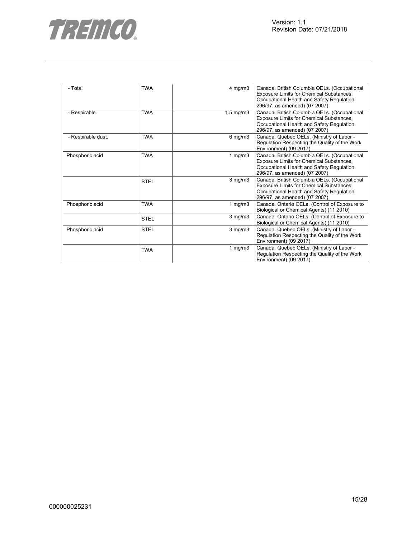

| - Total            | <b>TWA</b>  | $4$ mg/m $3$   | Canada. British Columbia OELs. (Occupational<br>Exposure Limits for Chemical Substances,<br>Occupational Health and Safety Regulation<br>296/97, as amended) (07 2007) |
|--------------------|-------------|----------------|------------------------------------------------------------------------------------------------------------------------------------------------------------------------|
| - Respirable.      | <b>TWA</b>  | $1.5$ mg/m $3$ | Canada. British Columbia OELs. (Occupational<br>Exposure Limits for Chemical Substances,<br>Occupational Health and Safety Regulation<br>296/97, as amended) (07 2007) |
| - Respirable dust. | <b>TWA</b>  | $6$ mg/m $3$   | Canada. Quebec OELs. (Ministry of Labor -<br>Regulation Respecting the Quality of the Work<br>Environment) (09 2017)                                                   |
| Phosphoric acid    | <b>TWA</b>  | 1 $mg/m3$      | Canada. British Columbia OELs. (Occupational<br>Exposure Limits for Chemical Substances,<br>Occupational Health and Safety Regulation<br>296/97, as amended) (07 2007) |
|                    | <b>STEL</b> | $3$ mg/m $3$   | Canada. British Columbia OELs. (Occupational<br>Exposure Limits for Chemical Substances,<br>Occupational Health and Safety Regulation<br>296/97, as amended) (07 2007) |
| Phosphoric acid    | <b>TWA</b>  | 1 mg/m $3$     | Canada. Ontario OELs. (Control of Exposure to<br>Biological or Chemical Agents) (11 2010)                                                                              |
|                    | <b>STEL</b> | $3$ mg/m $3$   | Canada. Ontario OELs. (Control of Exposure to<br>Biological or Chemical Agents) (11 2010)                                                                              |
| Phosphoric acid    | <b>STEL</b> | $3$ mg/m $3$   | Canada. Quebec OELs. (Ministry of Labor -<br>Regulation Respecting the Quality of the Work<br>Environment) (09 2017)                                                   |
|                    | <b>TWA</b>  | 1 $mg/m3$      | Canada. Quebec OELs. (Ministry of Labor -<br>Regulation Respecting the Quality of the Work<br>Environment) (09 2017)                                                   |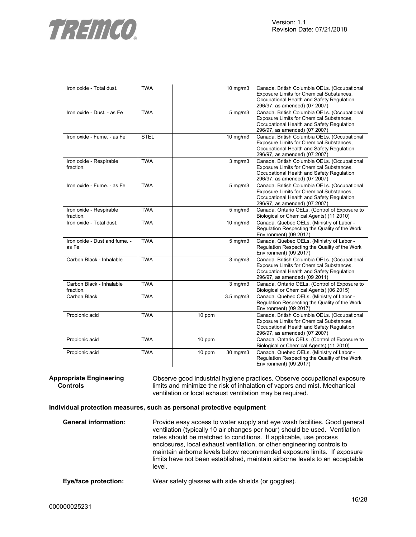

| Iron oxide - Total dust.               | <b>TWA</b>  |        | 10 mg/m3       | Canada. British Columbia OELs. (Occupational<br>Exposure Limits for Chemical Substances,<br>Occupational Health and Safety Regulation<br>296/97, as amended) (07 2007) |
|----------------------------------------|-------------|--------|----------------|------------------------------------------------------------------------------------------------------------------------------------------------------------------------|
| Iron oxide - Dust. - as Fe             | <b>TWA</b>  |        | $5$ mg/m $3$   | Canada. British Columbia OELs. (Occupational<br>Exposure Limits for Chemical Substances,<br>Occupational Health and Safety Regulation<br>296/97, as amended) (07 2007) |
| Iron oxide - Fume. - as Fe             | <b>STEL</b> |        | 10 mg/m3       | Canada. British Columbia OELs. (Occupational<br>Exposure Limits for Chemical Substances,<br>Occupational Health and Safety Regulation<br>296/97, as amended) (07 2007) |
| Iron oxide - Respirable<br>fraction.   | <b>TWA</b>  |        | $3$ mg/m $3$   | Canada. British Columbia OELs. (Occupational<br>Exposure Limits for Chemical Substances,<br>Occupational Health and Safety Regulation<br>296/97, as amended) (07 2007) |
| Iron oxide - Fume. - as Fe             | <b>TWA</b>  |        | 5 mg/m3        | Canada. British Columbia OELs. (Occupational<br>Exposure Limits for Chemical Substances,<br>Occupational Health and Safety Regulation<br>296/97, as amended) (07 2007) |
| Iron oxide - Respirable<br>fraction.   | <b>TWA</b>  |        | 5 mg/m3        | Canada. Ontario OELs. (Control of Exposure to<br>Biological or Chemical Agents) (11 2010)                                                                              |
| Iron oxide - Total dust.               | <b>TWA</b>  |        | 10 mg/m3       | Canada. Quebec OELs. (Ministry of Labor -<br>Regulation Respecting the Quality of the Work<br>Environment) (09 2017)                                                   |
| Iron oxide - Dust and fume. -<br>as Fe | <b>TWA</b>  |        | $5$ mg/m $3$   | Canada. Quebec OELs. (Ministry of Labor -<br>Regulation Respecting the Quality of the Work<br>Environment) (09 2017)                                                   |
| Carbon Black - Inhalable               | <b>TWA</b>  |        | $3$ mg/m $3$   | Canada. British Columbia OELs. (Occupational<br>Exposure Limits for Chemical Substances,<br>Occupational Health and Safety Regulation<br>296/97, as amended) (09 2011) |
| Carbon Black - Inhalable<br>fraction.  | <b>TWA</b>  |        | $3$ mg/m $3$   | Canada. Ontario OELs. (Control of Exposure to<br>Biological or Chemical Agents) (06 2015)                                                                              |
| Carbon Black                           | <b>TWA</b>  |        | $3.5$ mg/m $3$ | Canada. Quebec OELs. (Ministry of Labor -<br>Regulation Respecting the Quality of the Work<br>Environment) (09 2017)                                                   |
| Propionic acid                         | <b>TWA</b>  | 10 ppm |                | Canada. British Columbia OELs. (Occupational<br>Exposure Limits for Chemical Substances,<br>Occupational Health and Safety Regulation<br>296/97, as amended) (07 2007) |
| Propionic acid                         | <b>TWA</b>  | 10 ppm |                | Canada. Ontario OELs. (Control of Exposure to<br>Biological or Chemical Agents) (11 2010)                                                                              |
| Propionic acid                         | <b>TWA</b>  | 10 ppm | 30 mg/m3       | Canada. Quebec OELs. (Ministry of Labor -<br>Regulation Respecting the Quality of the Work<br>Environment) (09 2017)                                                   |

**Appropriate Engineering Controls** 

Observe good industrial hygiene practices. Observe occupational exposure limits and minimize the risk of inhalation of vapors and mist. Mechanical ventilation or local exhaust ventilation may be required.

## **Individual protection measures, such as personal protective equipment**

| <b>General information:</b> | Provide easy access to water supply and eye wash facilities. Good general<br>ventilation (typically 10 air changes per hour) should be used. Ventilation<br>rates should be matched to conditions. If applicable, use process<br>enclosures, local exhaust ventilation, or other engineering controls to<br>maintain airborne levels below recommended exposure limits. If exposure<br>limits have not been established, maintain airborne levels to an acceptable<br>level. |
|-----------------------------|------------------------------------------------------------------------------------------------------------------------------------------------------------------------------------------------------------------------------------------------------------------------------------------------------------------------------------------------------------------------------------------------------------------------------------------------------------------------------|
| Eye/face protection:        | Wear safety glasses with side shields (or goggles).                                                                                                                                                                                                                                                                                                                                                                                                                          |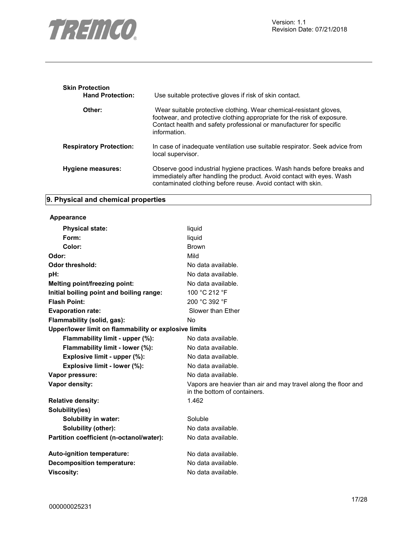

| <b>Skin Protection</b><br><b>Hand Protection:</b> | Use suitable protective gloves if risk of skin contact.                                                                                                                                                                              |
|---------------------------------------------------|--------------------------------------------------------------------------------------------------------------------------------------------------------------------------------------------------------------------------------------|
| Other:                                            | Wear suitable protective clothing. Wear chemical-resistant gloves,<br>footwear, and protective clothing appropriate for the risk of exposure.<br>Contact health and safety professional or manufacturer for specific<br>information. |
| <b>Respiratory Protection:</b>                    | In case of inadequate ventilation use suitable respirator. Seek advice from<br>local supervisor.                                                                                                                                     |
| Hygiene measures:                                 | Observe good industrial hygiene practices. Wash hands before breaks and<br>immediately after handling the product. Avoid contact with eyes. Wash<br>contaminated clothing before reuse. Avoid contact with skin.                     |

## **9. Physical and chemical properties**

## **Appearance**

| <b>Physical state:</b>                                | liquid                                                                                         |
|-------------------------------------------------------|------------------------------------------------------------------------------------------------|
| Form:                                                 | liquid                                                                                         |
| Color:                                                | <b>Brown</b>                                                                                   |
| Odor:                                                 | Mild                                                                                           |
| Odor threshold:                                       | No data available.                                                                             |
| pH:                                                   | No data available.                                                                             |
| Melting point/freezing point:                         | No data available.                                                                             |
| Initial boiling point and boiling range:              | 100 °C 212 °F                                                                                  |
| <b>Flash Point:</b>                                   | 200 °C 392 °F                                                                                  |
| <b>Evaporation rate:</b>                              | Slower than Ether                                                                              |
| Flammability (solid, gas):                            | No.                                                                                            |
| Upper/lower limit on flammability or explosive limits |                                                                                                |
| Flammability limit - upper (%):                       | No data available.                                                                             |
| Flammability limit - lower (%):                       | No data available.                                                                             |
| Explosive limit - upper (%):                          | No data available.                                                                             |
| Explosive limit - lower (%):                          | No data available.                                                                             |
| Vapor pressure:                                       | No data available.                                                                             |
| Vapor density:                                        | Vapors are heavier than air and may travel along the floor and<br>in the bottom of containers. |
| <b>Relative density:</b>                              | 1.462                                                                                          |
| Solubility(ies)                                       |                                                                                                |
| Solubility in water:                                  | Soluble                                                                                        |
| Solubility (other):                                   | No data available.                                                                             |
| Partition coefficient (n-octanol/water):              | No data available.                                                                             |
| Auto-ignition temperature:                            | No data available.                                                                             |
| <b>Decomposition temperature:</b>                     | No data available.                                                                             |
| <b>Viscosity:</b>                                     | No data available.                                                                             |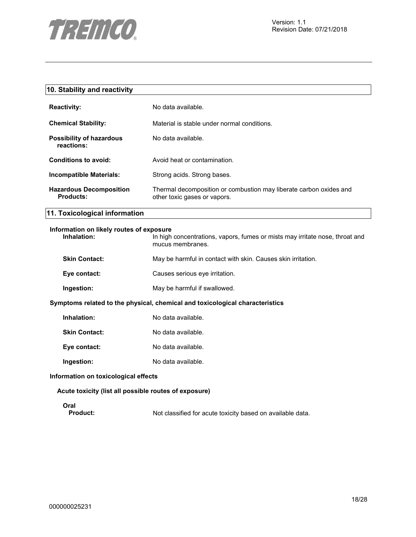

| 10. Stability and reactivity                            |                                                                                                    |
|---------------------------------------------------------|----------------------------------------------------------------------------------------------------|
| <b>Reactivity:</b>                                      | No data available.                                                                                 |
| <b>Chemical Stability:</b>                              | Material is stable under normal conditions.                                                        |
| <b>Possibility of hazardous</b><br>reactions:           | No data available.                                                                                 |
| <b>Conditions to avoid:</b>                             | Avoid heat or contamination.                                                                       |
| <b>Incompatible Materials:</b>                          | Strong acids. Strong bases.                                                                        |
| <b>Hazardous Decomposition</b><br><b>Products:</b>      | Thermal decomposition or combustion may liberate carbon oxides and<br>other toxic gases or vapors. |
| 11. Toxicological information                           |                                                                                                    |
| Information on likely routes of exposure<br>Inhalation: | In high concentrations, vapors, fumes or mists may irritate nose, throat and<br>mucus membranes.   |
| <b>Skin Contact:</b>                                    | May be harmful in contact with skin. Causes skin irritation.                                       |
| Eye contact:                                            | Causes serious eye irritation.                                                                     |
| Ingestion:                                              | May be harmful if swallowed.                                                                       |
|                                                         | Symptoms related to the physical, chemical and toxicological characteristics                       |
| Inhalation:                                             | No data available.                                                                                 |
| <b>Skin Contact:</b>                                    | No data available.                                                                                 |
| Eye contact:                                            | No data available.                                                                                 |
| Ingestion:                                              | No data available.                                                                                 |
| Information on toxicological effects                    |                                                                                                    |
| Acute toxicity (list all possible routes of exposure)   |                                                                                                    |
| Oral<br><b>Product:</b>                                 | Not classified for acute toxicity based on available data.                                         |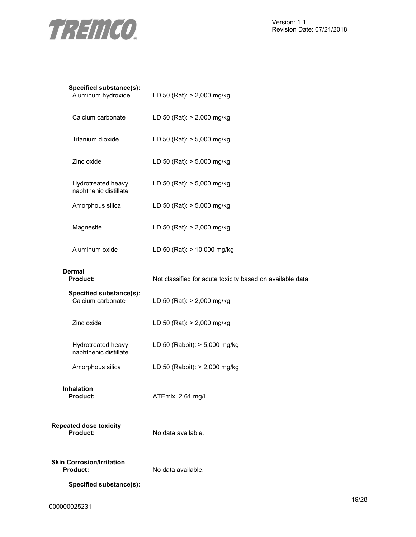

| Specified substance(s):<br>Aluminum hydroxide       | LD 50 (Rat): > 2,000 mg/kg                                 |
|-----------------------------------------------------|------------------------------------------------------------|
| Calcium carbonate                                   | LD 50 (Rat): > 2,000 mg/kg                                 |
| Titanium dioxide                                    | LD 50 (Rat): > 5,000 mg/kg                                 |
| Zinc oxide                                          | LD 50 (Rat): > 5,000 mg/kg                                 |
| Hydrotreated heavy<br>naphthenic distillate         | LD 50 (Rat): > 5,000 mg/kg                                 |
| Amorphous silica                                    | LD 50 (Rat): > 5,000 mg/kg                                 |
| Magnesite                                           | LD 50 (Rat): > 2,000 mg/kg                                 |
| Aluminum oxide                                      | LD 50 (Rat): > 10,000 mg/kg                                |
| <b>Dermal</b><br><b>Product:</b>                    | Not classified for acute toxicity based on available data. |
| Specified substance(s):<br>Calcium carbonate        | LD 50 (Rat): > 2,000 mg/kg                                 |
| Zinc oxide                                          | LD 50 (Rat): > 2,000 mg/kg                                 |
| Hydrotreated heavy<br>naphthenic distillate         | LD 50 (Rabbit): > 5,000 mg/kg                              |
| Amorphous silica                                    | LD 50 (Rabbit): > 2,000 mg/kg                              |
| Inhalation<br><b>Product:</b>                       | ATEmix: 2.61 mg/l                                          |
| <b>Repeated dose toxicity</b><br>Product:           | No data available.                                         |
| <b>Skin Corrosion/Irritation</b><br><b>Product:</b> | No data available.                                         |
| Specified substance(s):                             |                                                            |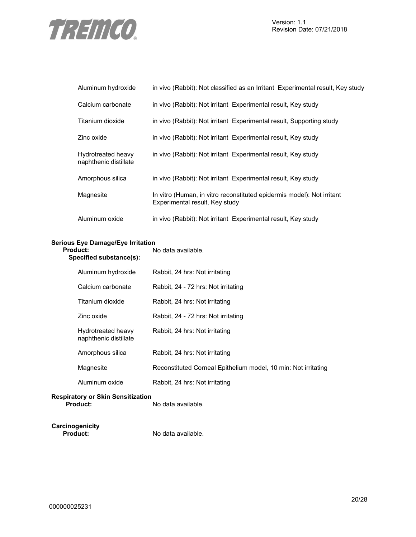

| Aluminum hydroxide                          | in vivo (Rabbit): Not classified as an Irritant Experimental result, Key study                           |  |  |
|---------------------------------------------|----------------------------------------------------------------------------------------------------------|--|--|
| Calcium carbonate                           | in vivo (Rabbit): Not irritant Experimental result, Key study                                            |  |  |
| Titanium dioxide                            | in vivo (Rabbit): Not irritant Experimental result, Supporting study                                     |  |  |
| Zinc oxide                                  | in vivo (Rabbit): Not irritant Experimental result, Key study                                            |  |  |
| Hydrotreated heavy<br>naphthenic distillate | in vivo (Rabbit): Not irritant Experimental result, Key study                                            |  |  |
| Amorphous silica                            | in vivo (Rabbit): Not irritant Experimental result, Key study                                            |  |  |
| Magnesite                                   | In vitro (Human, in vitro reconstituted epidermis model): Not irritant<br>Experimental result, Key study |  |  |
| Aluminum oxide                              | in vivo (Rabbit): Not irritant Experimental result, Key study                                            |  |  |

## **Serious Eye Damage/Eye Irritation**

| Product:<br>Specified substance(s): |                                             | No data available.                                             |  |
|-------------------------------------|---------------------------------------------|----------------------------------------------------------------|--|
|                                     | Aluminum hydroxide                          | Rabbit, 24 hrs: Not irritating                                 |  |
|                                     | Calcium carbonate                           | Rabbit, 24 - 72 hrs: Not irritating                            |  |
|                                     | Titanium dioxide                            | Rabbit, 24 hrs: Not irritating                                 |  |
|                                     | Zinc oxide                                  | Rabbit, 24 - 72 hrs: Not irritating                            |  |
|                                     | Hydrotreated heavy<br>naphthenic distillate | Rabbit, 24 hrs: Not irritating                                 |  |
|                                     | Amorphous silica                            | Rabbit, 24 hrs: Not irritating                                 |  |
|                                     | Magnesite                                   | Reconstituted Corneal Epithelium model, 10 min: Not irritating |  |
|                                     | Aluminum oxide                              | Rabbit, 24 hrs: Not irritating                                 |  |
|                                     |                                             |                                                                |  |

## **Respiratory or Skin Sensitization**

**Product:** No data available.

**Carcinogenicity** 

No data available.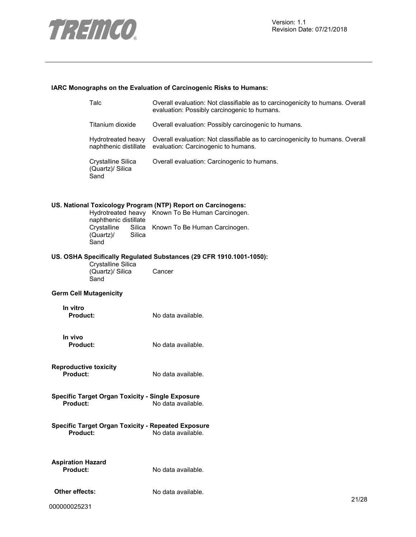

## **IARC Monographs on the Evaluation of Carcinogenic Risks to Humans:**

| Talc                                            |                                                                     | Overall evaluation: Not classifiable as to carcinogenicity to humans. Overall<br>evaluation: Possibly carcinogenic to humans.                            |       |
|-------------------------------------------------|---------------------------------------------------------------------|----------------------------------------------------------------------------------------------------------------------------------------------------------|-------|
| Titanium dioxide                                |                                                                     | Overall evaluation: Possibly carcinogenic to humans.                                                                                                     |       |
| Hydrotreated heavy<br>naphthenic distillate     |                                                                     | Overall evaluation: Not classifiable as to carcinogenicity to humans. Overall<br>evaluation: Carcinogenic to humans.                                     |       |
| Crystalline Silica<br>(Quartz)/ Silica<br>Sand  |                                                                     | Overall evaluation: Carcinogenic to humans.                                                                                                              |       |
|                                                 | naphthenic distillate<br>Crystalline<br>Silica<br>(Quartz)/<br>Sand | US. National Toxicology Program (NTP) Report on Carcinogens:<br>Hydrotreated heavy Known To Be Human Carcinogen.<br>Silica Known To Be Human Carcinogen. |       |
| Crystalline Silica<br>(Quartz)/ Silica<br>Sand  |                                                                     | US. OSHA Specifically Regulated Substances (29 CFR 1910.1001-1050):<br>Cancer                                                                            |       |
|                                                 | <b>Germ Cell Mutagenicity</b>                                       |                                                                                                                                                          |       |
| In vitro<br>Product:                            |                                                                     | No data available.                                                                                                                                       |       |
| In vivo<br><b>Product:</b>                      |                                                                     | No data available.                                                                                                                                       |       |
| <b>Reproductive toxicity</b><br><b>Product:</b> |                                                                     | No data available.                                                                                                                                       |       |
| <b>Product:</b>                                 | <b>Specific Target Organ Toxicity - Single Exposure</b>             | No data available.                                                                                                                                       |       |
| Product:                                        | <b>Specific Target Organ Toxicity - Repeated Exposure</b>           | No data available.                                                                                                                                       |       |
| <b>Aspiration Hazard</b><br><b>Product:</b>     |                                                                     | No data available.                                                                                                                                       |       |
| Other effects:                                  |                                                                     | No data available.                                                                                                                                       | 21/28 |
| ,,,,,,,,,,,,                                    |                                                                     |                                                                                                                                                          |       |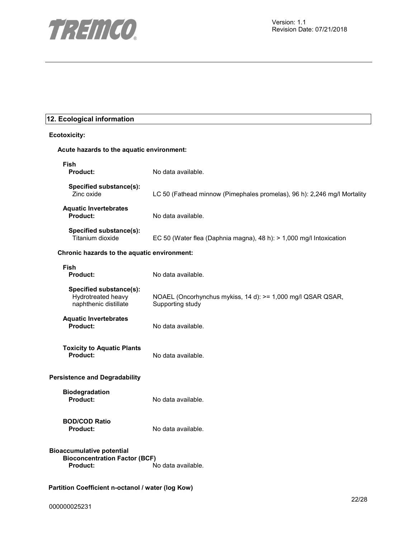

## **12. Ecological information**

| <b>Ecotoxicity:</b>                                                                                        |                                                                                 |  |  |  |
|------------------------------------------------------------------------------------------------------------|---------------------------------------------------------------------------------|--|--|--|
|                                                                                                            | Acute hazards to the aquatic environment:                                       |  |  |  |
| Fish<br><b>Product:</b>                                                                                    | No data available.                                                              |  |  |  |
| Specified substance(s):<br>Zinc oxide                                                                      | LC 50 (Fathead minnow (Pimephales promelas), 96 h): 2,246 mg/l Mortality        |  |  |  |
| <b>Aquatic Invertebrates</b><br><b>Product:</b>                                                            | No data available.                                                              |  |  |  |
| Specified substance(s):<br>Titanium dioxide                                                                | EC 50 (Water flea (Daphnia magna), 48 h): > 1,000 mg/l Intoxication             |  |  |  |
| Chronic hazards to the aquatic environment:                                                                |                                                                                 |  |  |  |
| Fish<br><b>Product:</b>                                                                                    | No data available.                                                              |  |  |  |
| Specified substance(s):<br>Hydrotreated heavy<br>naphthenic distillate                                     | NOAEL (Oncorhynchus mykiss, 14 d): >= 1,000 mg/l QSAR QSAR,<br>Supporting study |  |  |  |
| <b>Aquatic Invertebrates</b><br>Product:                                                                   | No data available.                                                              |  |  |  |
| <b>Toxicity to Aquatic Plants</b><br>Product:                                                              | No data available.                                                              |  |  |  |
| <b>Persistence and Degradability</b>                                                                       |                                                                                 |  |  |  |
| <b>Biodegradation</b><br><b>Product:</b>                                                                   | No data available.                                                              |  |  |  |
| <b>BOD/COD Ratio</b><br><b>Product:</b>                                                                    | No data available.                                                              |  |  |  |
| <b>Bioaccumulative potential</b><br><b>Bioconcentration Factor (BCF)</b><br>Product:<br>No data available. |                                                                                 |  |  |  |
| Partition Coefficient n-octanol / water (log Kow)                                                          |                                                                                 |  |  |  |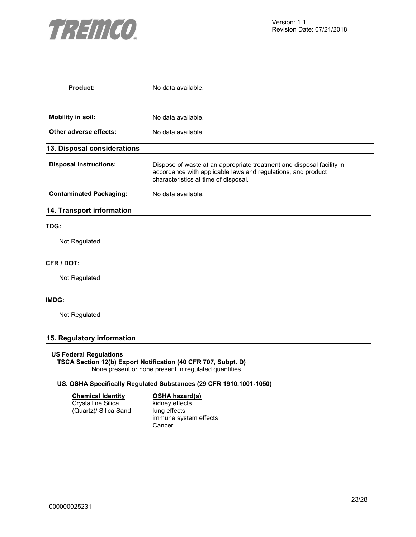

| Product:                       | No data available.                                                                                                                                                            |
|--------------------------------|-------------------------------------------------------------------------------------------------------------------------------------------------------------------------------|
| <b>Mobility in soil:</b>       | No data available.                                                                                                                                                            |
| Other adverse effects:         | No data available.                                                                                                                                                            |
| 13. Disposal considerations    |                                                                                                                                                                               |
| <b>Disposal instructions:</b>  | Dispose of waste at an appropriate treatment and disposal facility in<br>accordance with applicable laws and regulations, and product<br>characteristics at time of disposal. |
| <b>Contaminated Packaging:</b> | No data available.                                                                                                                                                            |
| 14. Transport information      |                                                                                                                                                                               |
| TDG:                           |                                                                                                                                                                               |
| Not Regulated                  |                                                                                                                                                                               |

#### **CFR / DOT:**

Not Regulated

## **IMDG:**

Not Regulated

## **15. Regulatory information**

## **US Federal Regulations**

## **TSCA Section 12(b) Export Notification (40 CFR 707, Subpt. D)**

None present or none present in regulated quantities.

## **US. OSHA Specifically Regulated Substances (29 CFR 1910.1001-1050)**

| <b>Chemical Identity</b> | OSI  |  |
|--------------------------|------|--|
| Crystalline Silica       | kidr |  |
| (Quartz)/ Silica Sand    | lung |  |

## **HA** hazard(s)

ney effects g effects immune system effects Cancer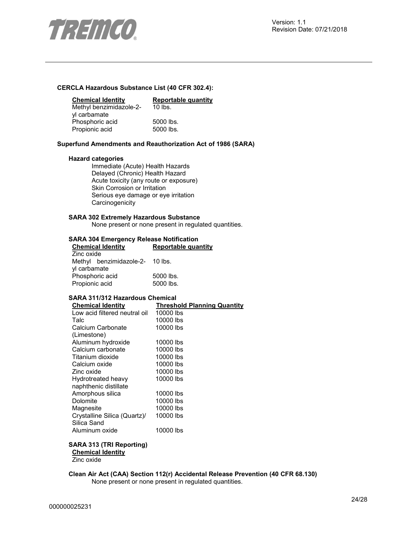

## **CERCLA Hazardous Substance List (40 CFR 302.4):**

| <b>Chemical Identity</b> | Reportable quantity |
|--------------------------|---------------------|
| Methyl benzimidazole-2-  | $10$ lbs.           |
| yl carbamate             |                     |
| Phosphoric acid          | 5000 lbs.           |
| Propionic acid           | 5000 lbs.           |

### **Superfund Amendments and Reauthorization Act of 1986 (SARA)**

### **Hazard categories**

Immediate (Acute) Health Hazards Delayed (Chronic) Health Hazard Acute toxicity (any route or exposure) Skin Corrosion or Irritation Serious eye damage or eye irritation **Carcinogenicity** 

## **SARA 302 Extremely Hazardous Substance**

None present or none present in regulated quantities.

### **SARA 304 Emergency Release Notification**

| <b>Chemical Identity</b>        |  | Reportable quantity |  |
|---------------------------------|--|---------------------|--|
| Zinc oxide                      |  |                     |  |
| Methyl benzimidazole-2- 10 lbs. |  |                     |  |
| yl carbamate                    |  |                     |  |
| Phosphoric acid                 |  | 5000 lbs.           |  |
| Propionic acid                  |  | 5000 lbs.           |  |

## **SARA 311/312 Hazardous Chemical**

| <b>Chemical Identity</b>      | <b>Threshold Planning Quantity</b> |
|-------------------------------|------------------------------------|
| Low acid filtered neutral oil | 10000 lbs                          |
| Talc                          | 10000 lbs                          |
| Calcium Carbonate             | 10000 lbs                          |
| (Limestone)                   |                                    |
| Aluminum hydroxide            | 10000 lbs                          |
| Calcium carbonate             | 10000 lbs                          |
| Titanium dioxide              | 10000 lbs                          |
| Calcium oxide                 | 10000 lbs                          |
| Zinc oxide                    | 10000 lbs                          |
| Hydrotreated heavy            | 10000 lbs                          |
| naphthenic distillate         |                                    |
| Amorphous silica              | 10000 lbs                          |
| <b>Dolomite</b>               | 10000 lbs                          |
| Magnesite                     | 10000 lbs                          |
| Crystalline Silica (Quartz)/  | 10000 lbs                          |
| Silica Sand                   |                                    |
| Aluminum oxide                | 10000 lbs                          |

## **SARA 313 (TRI Reporting)**

**Chemical Identity** Zinc oxide

**Clean Air Act (CAA) Section 112(r) Accidental Release Prevention (40 CFR 68.130)**  None present or none present in regulated quantities.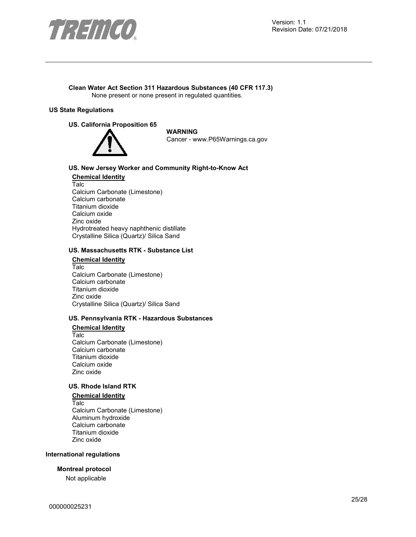

#### **Clean Water Act Section 311 Hazardous Substances (40 CFR 117.3)**  None present or none present in regulated quantities.

## **US State Regulations**

#### **US. California Proposition 65**



**WARNING** Cancer - www.P65Warnings.ca.gov

## **US. New Jersey Worker and Community Right-to-Know Act**

**Chemical Identity** Talc Calcium Carbonate (Limestone) Calcium carbonate Titanium dioxide Calcium oxide Zinc oxide Hydrotreated heavy naphthenic distillate Crystalline Silica (Quartz)/ Silica Sand

### **US. Massachusetts RTK - Substance List**

## **Chemical Identity**

Talc Calcium Carbonate (Limestone) Calcium carbonate Titanium dioxide Zinc oxide Crystalline Silica (Quartz)/ Silica Sand

## **US. Pennsylvania RTK - Hazardous Substances**

#### **Chemical Identity**

Talc Calcium Carbonate (Limestone) Calcium carbonate Titanium dioxide Calcium oxide Zinc oxide

## **US. Rhode Island RTK**

## **Chemical Identity**

Talc Calcium Carbonate (Limestone) Aluminum hydroxide Calcium carbonate Titanium dioxide Zinc oxide

#### **International regulations**

## **Montreal protocol**

Not applicable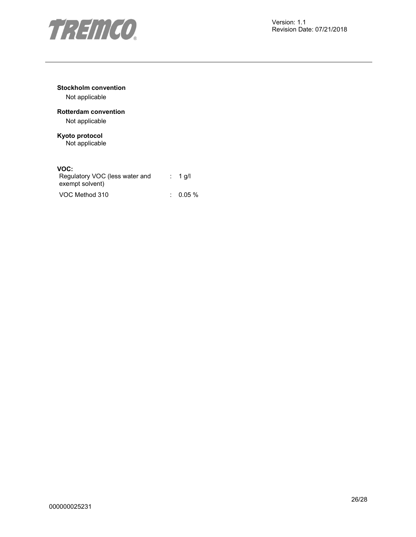

## **Stockholm convention**

Not applicable

## **Rotterdam convention**

Not applicable

## **Kyoto protocol**

Not applicable

## **VOC:**

| Regulatory VOC (less water and<br>exempt solvent) | $: 1$ g/l |
|---------------------------------------------------|-----------|
| VOC Method 310                                    | $0.05\%$  |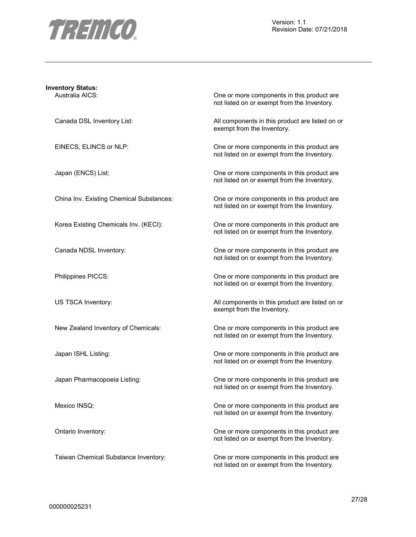

| <b>Inventory Status:</b>                 |                                                                                           |
|------------------------------------------|-------------------------------------------------------------------------------------------|
| Australia AICS:                          | One or more components in this product are<br>not listed on or exempt from the Inventory. |
| Canada DSL Inventory List:               | All components in this product are listed on or<br>exempt from the Inventory.             |
| EINECS, ELINCS or NLP:                   | One or more components in this product are<br>not listed on or exempt from the Inventory. |
| Japan (ENCS) List:                       | One or more components in this product are<br>not listed on or exempt from the Inventory. |
| China Inv. Existing Chemical Substances: | One or more components in this product are<br>not listed on or exempt from the Inventory. |
| Korea Existing Chemicals Inv. (KECI):    | One or more components in this product are<br>not listed on or exempt from the Inventory. |
| Canada NDSL Inventory:                   | One or more components in this product are<br>not listed on or exempt from the Inventory. |
| Philippines PICCS:                       | One or more components in this product are<br>not listed on or exempt from the Inventory. |
| US TSCA Inventory:                       | All components in this product are listed on or<br>exempt from the Inventory.             |
| New Zealand Inventory of Chemicals:      | One or more components in this product are<br>not listed on or exempt from the Inventory. |
| Japan ISHL Listing:                      | One or more components in this product are<br>not listed on or exempt from the Inventory. |
| Japan Pharmacopoeia Listing:             | One or more components in this product are<br>not listed on or exempt from the Inventory. |
| Mexico INSQ:                             | One or more components in this product are<br>not listed on or exempt from the Inventory. |
| Ontario Inventory:                       | One or more components in this product are<br>not listed on or exempt from the Inventory. |
| Taiwan Chemical Substance Inventory:     | One or more components in this product are                                                |

not listed on or exempt from the Inventory.